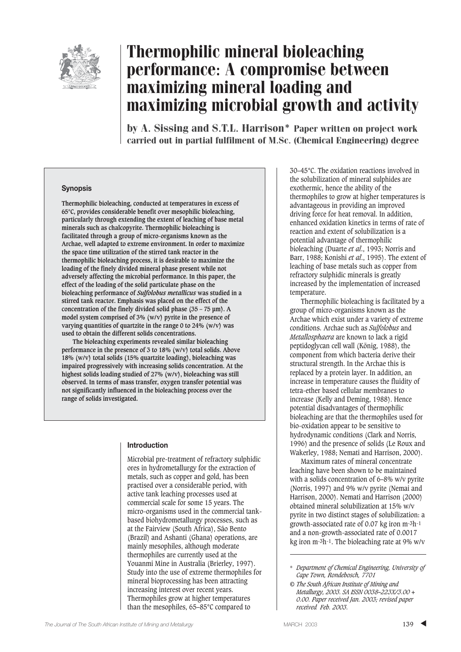

# Thermophilic mineral bioleaching performance: A compromise between maximizing mineral loading and maximizing microbial growth and activity

by A. Sissing and S.T.L. Harrison\* Paper written on project work carried out in partial fulfilment of M.Sc. (Chemical Engineering) degree

#### **Synopsis**

**Thermophilic bioleaching, conducted at temperatures in excess of 65°C, provides considerable benefit over mesophilic bioleaching, particularly through extending the extent of leaching of base metal minerals such as chalcopyrite. Thermophilic bioleaching is facilitated through a group of micro-organisms known as the Archae, well adapted to extreme environment. In order to maximize the space time utilization of the stirred tank reactor in the thermophilic bioleaching process, it is desirable to maximize the loading of the finely divided mineral phase present while not adversely affecting the microbial performance. In this paper, the effect of the loading of the solid particulate phase on the bioleaching performance of** *Sulfolobus metallicus* **was studied in a stirred tank reactor. Emphasis was placed on the effect of the concentration of the finely divided solid phase (35 – 75 µm). A model system comprised of 3% (w/v) pyrite in the presence of varying quantities of quartzite in the range 0 to 24% (w/v) was used to obtain the different solids concentrations.** 

**The bioleaching experiments revealed similar bioleaching performance in the presence of 3 to 18% (w/v) total solids. Above 18% (w/v) total solids (15% quartzite loading), bioleaching was impaired progressively with increasing solids concentration. At the highest solids loading studied of 27% (w/v), bioleaching was still observed. In terms of mass transfer, oxygen transfer potential was not significantly influenced in the bioleaching process over the range of solids investigated.** 

#### **Introduction**

Microbial pre-treatment of refractory sulphidic ores in hydrometallurgy for the extraction of metals, such as copper and gold, has been practised over a considerable period, with active tank leaching processes used at commercial scale for some 15 years. The micro-organisms used in the commercial tankbased biohydrometallurgy processes, such as at the Fairview (South Africa), São Bento (Brazil) and Ashanti (Ghana) operations, are mainly mesophiles, although moderate thermophiles are currently used at the Youanmi Mine in Australia (Brierley, 1997). Study into the use of extreme thermophiles for mineral bioprocessing has been attracting increasing interest over recent years. Thermophiles grow at higher temperatures than the mesophiles, 65–85°C compared to

30–45°C. The oxidation reactions involved in the solubilization of mineral sulphides are exothermic, hence the ability of the thermophiles to grow at higher temperatures is advantageous in providing an improved driving force for heat removal. In addition, enhanced oxidation kinetics in terms of rate of reaction and extent of solubilization is a potential advantage of thermophilic bioleaching (Duarte *et al*., 1993; Norris and Barr, 1988; Konishi *et al*., 1995). The extent of leaching of base metals such as copper from refractory sulphidic minerals is greatly increased by the implementation of increased temperature.

Thermophilic bioleaching is facilitated by a group of micro-organisms known as the Archae which exist under a variety of extreme conditions. Archae such as *Sulfolobus* and *Metallosphaera* are known to lack a rigid peptidoglycan cell wall (König, 1988), the component from which bacteria derive their structural strength. In the Archae this is replaced by a protein layer. In addition, an increase in temperature causes the fluidity of tetra-ether based cellular membranes to increase (Kelly and Deming, 1988). Hence potential disadvantages of thermophilic bioleaching are that the thermophiles used for bio-oxidation appear to be sensitive to hydrodynamic conditions (Clark and Norris, 1996) and the presence of solids (Le Roux and Wakerley, 1988; Nemati and Harrison, 2000).

Maximum rates of mineral concentrate leaching have been shown to be maintained with a solids concentration of 6–8% w/v pyrite (Norris, 1997) and 9% w/v pyrite (Nemai and Harrison, 2000). Nemati and Harrison (2000) obtained mineral solubilization at 15% w/v pyrite in two distinct stages of solubilization: a growth-associated rate of 0.07 kg iron m-3h-1 and a non-growth-associated rate of 0.0017 kg iron m-3h-1. The bioleaching rate at 9% w/v

<sup>\*</sup> *Department of Chemical Engineering, University of Cape Town, Rondebosch, 7701*

*<sup>©</sup> The South African Institute of Mining and Metallurgy, 2003. SA ISSN 0038–223X/3.00 + 0.00. Paper received Jan. 2003; revised paper received Feb. 2003.*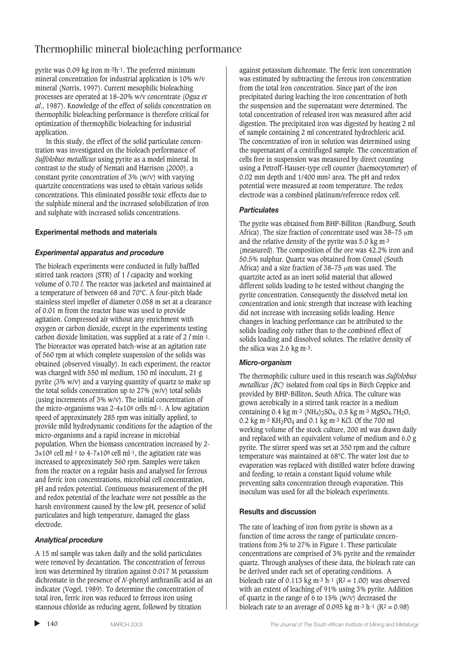# Thermophilic mineral bioleaching performance

pyrite was 0.09 kg iron m-3h-1. The preferred minimum mineral concentration for industrial application is 10% w/v mineral (Norris, 1997). Current mesophilic bioleaching processes are operated at 18–20% w/v concentrate (Oguz *et al*., 1987). Knowledge of the effect of solids concentration on thermophilic bioleaching performance is therefore critical for optimization of thermophilic bioleaching for industrial application.

In this study, the effect of the solid particulate concentration was investigated on the bioleach performance of *Sulfolobus metallicus* using pyrite as a model mineral. In contrast to the study of Nemati and Harrison (2000), a constant pyrite concentration of 3% (w/v) with varying quartzite concentrations was used to obtain various solids concentrations. This eliminated possible toxic effects due to the sulphide mineral and the increased solubilization of iron and sulphate with increased solids concentrations.

# **Experimental methods and materials**

# *Experimental apparatus and procedure*

The bioleach experiments were conducted in fully baffled stirred tank reactors (STR) of 1 *l* capacity and working volume of 0.70 *l*. The reactor was jacketed and maintained at a temperature of between 68 and 70°C. A four-pitch blade stainless steel impeller of diameter 0.058 m set at a clearance of 0.01 m from the reactor base was used to provide agitation. Compressed air without any enrichment with oxygen or carbon dioxide, except in the experiments testing carbon dioxide limitation, was supplied at a rate of 2 *l* min-1. The bioreactor was operated batch-wise at an agitation rate of 560 rpm at which complete suspension of the solids was obtained (observed visually). In each experiment, the reactor was charged with 550 ml medium, 150 ml inoculum, 21 g pyrite (3% w/v) and a varying quantity of quartz to make up the total solids concentration up to 27% (w/v) total solids (using increments of 3% w/v). The initial concentration of the micro-organisms was 2-4x108 cells ml-1. A low agitation speed of approximately 285 rpm was initially applied, to provide mild hydrodynamic conditions for the adaption of the micro-organisms and a rapid increase in microbial population. When the biomass concentration increased by 2-  $3x108$  cell ml-1 to  $4-7x108$  cell ml-1, the agitation rate was increased to approximately 560 rpm. Samples were taken from the reactor on a regular basis and analysed for ferrous and ferric iron concentrations, microbial cell concentration, pH and redox potential. Continuous measurement of the pH and redox potential of the leachate were not possible as the harsh environment caused by the low pH, presence of solid particulates and high temperature, damaged the glass electrode.

# *Analytical procedure*

A 15 ml sample was taken daily and the solid particulates were removed by decantation. The concentration of ferrous iron was determined by titration against 0.017 M potassium dichromate in the presence of *N*-phenyl anthranilic acid as an indicator (Vogel, 1989). To determine the concentration of total iron, ferric iron was reduced to ferrous iron using stannous chloride as reducing agent, followed by titration

against potassium dichromate. The ferric iron concentration was estimated by subtracting the ferrous iron concentration from the total iron concentration. Since part of the iron precipitated during leaching the iron concentration of both the suspension and the supernatant were determined. The total concentration of released iron was measured after acid digestion. The precipitated iron was digested by heating 2 ml of sample containing 2 ml concentrated hydrochloric acid. The concentration of iron in solution was determined using the supernatant of a centrifuged sample. The concentration of cells free in suspension was measured by direct counting using a Petroff-Hauser-type cell counter (haemocytometer) of 0.02 mm depth and 1/400 mm2 area. The pH and redox potential were measured at room temperature. The redox electrode was a combined platinum/reference redox cell.

### *Particulates*

The pyrite was obtained from BHP-Billiton (Randburg, South Africa). The size fraction of concentrate used was 38-75  $\mu$ m and the relative density of the pyrite was 5.0 kg m-3 (measured). The composition of the ore was 42.2% iron and 50.5% sulphur. Quartz was obtained from Consol (South Africa) and a size fraction of 38–75 um was used. The quartzite acted as an inert solid material that allowed different solids loading to be tested without changing the pyrite concentration. Consequently the dissolved metal ion concentration and ionic strength that increase with leaching did not increase with increasing solids loading. Hence changes in leaching performance can be attributed to the solids loading only rather than to the combined effect of solids loading and dissolved solutes. The relative density of the silica was 2.6 kg m-3.

#### *Micro-organism*

The thermophilic culture used in this research was *Sulfolobus metallicus (BC)* isolated from coal tips in Birch Coppice and provided by BHP-Billiton, South Africa. The culture was grown aerobically in a stirred tank reactor in a medium containing 0.4 kg m<sup>-3</sup> (NH<sub>4</sub>)<sub>2</sub>SO<sub>4</sub>, 0.5 kg m<sup>-3</sup> MgSO<sub>4</sub>.7H<sub>2</sub>O, 0.2 kg m<sup>-3</sup> KH<sub>2</sub>PO<sub>4</sub> and 0.1 kg m<sup>-3</sup> KCl. Of the 700 ml working volume of the stock culture, 200 ml was drawn daily and replaced with an equivalent volume of medium and 6.0 g pyrite. The stirrer speed was set at 350 rpm and the culture temperature was maintained at 68°C. The water lost due to evaporation was replaced with distilled water before drawing and feeding, to retain a constant liquid volume while preventing salts concentration through evaporation. This inoculum was used for all the bioleach experiments.

#### **Results and discussion**

The rate of leaching of iron from pyrite is shown as a function of time across the range of particulate concentrations from 3% to 27% in Figure 1. These particulate concentrations are comprised of 3% pyrite and the remainder quartz. Through analyses of these data, the bioleach rate can be derived under each set of operating conditions. A bioleach rate of 0.113 kg m<sup>-3</sup> h<sup>-1</sup> (R<sup>2</sup> = 1.00) was observed with an extent of leaching of 91% using 3% pyrite. Addition of quartz in the range of 6 to 15% (w/v) decreased the bioleach rate to an average of 0.095 kg m<sup>-3</sup> h<sup>-1</sup> ( $R^2 = 0.98$ )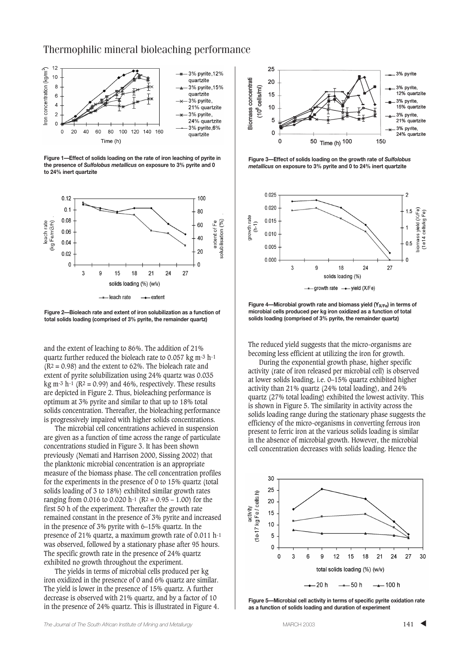# Thermophilic mineral bioleaching performance



**Figure 1—Effect of solids loading on the rate of iron leaching of pyrite in the presence of** *Sulfolobus metallicus* **on exposure to 3% pyrite and 0 to 24% inert quartzite**



**Figure 2—Bioleach rate and extent of iron solubilization as a function of total solids loading (comprised of 3% pyrite, the remainder quartz)**

and the extent of leaching to 86%. The addition of 21% quartz further reduced the bioleach rate to 0.057 kg m-3 h-1  $(R<sup>2</sup> = 0.98)$  and the extent to 62%. The bioleach rate and extent of pyrite solubilization using 24% quartz was 0.035 kg m<sup>-3</sup> h<sup>-1</sup> ( $R^2$  = 0.99) and 46%, respectively. These results are depicted in Figure 2. Thus, bioleaching performance is optimum at 3% pyrite and similar to that up to 18% total solids concentration. Thereafter, the bioleaching performance is progressively impaired with higher solids concentrations.

The microbial cell concentrations achieved in suspension are given as a function of time across the range of particulate concentrations studied in Figure 3. It has been shown previously (Nemati and Harrison 2000, Sissing 2002) that the planktonic microbial concentration is an appropriate measure of the biomass phase. The cell concentration profiles for the experiments in the presence of 0 to 15% quartz (total solids loading of 3 to 18%) exhibited similar growth rates ranging from 0.016 to 0.020 h<sup>-1</sup> ( $R^2 = 0.95 - 1.00$ ) for the first 50 h of the experiment. Thereafter the growth rate remained constant in the presence of 3% pyrite and increased in the presence of 3% pyrite with 6–15% quartz. In the presence of 21% quartz, a maximum growth rate of 0.011 h-1 was observed, followed by a stationary phase after 95 hours. The specific growth rate in the presence of 24% quartz exhibited no growth throughout the experiment.

The yields in terms of microbial cells produced per kg iron oxidized in the presence of 0 and 6% quartz are similar. The yield is lower in the presence of 15% quartz. A further decrease is observed with 21% quartz, and by a factor of 10 in the presence of 24% quartz. This is illustrated in Figure 4.



**Figure 3—Effect of solids loading on the growth rate of** *Sulfolobus metallicus* **on exposure to 3% pyrite and 0 to 24% inert quartzite**



**Figure 4—Microbial growth rate and biomass vield (Y<sub>X/Fe</sub>) in terms of microbial cells produced per kg iron oxidized as a function of total solids loading (comprised of 3% pyrite, the remainder quartz)**

The reduced yield suggests that the micro-organisms are becoming less efficient at utilizing the iron for growth.

During the exponential growth phase, higher specific activity (rate of iron released per microbial cell) is observed at lower solids loading, i.e. 0–15% quartz exhibited higher activity than 21% quartz (24% total loading), and 24% quartz (27% total loading) exhibited the lowest activity. This is shown in Figure 5. The similarity in activity across the solids loading range during the stationary phase suggests the efficiency of the micro-organisms in converting ferrous iron present to ferric iron at the various solids loading is similar in the absence of microbial growth. However, the microbial cell concentration decreases with solids loading. Hence the



**Figure 5—Microbial cell activity in terms of specific pyrite oxidation rate as a function of solids loading and duration of experiment**